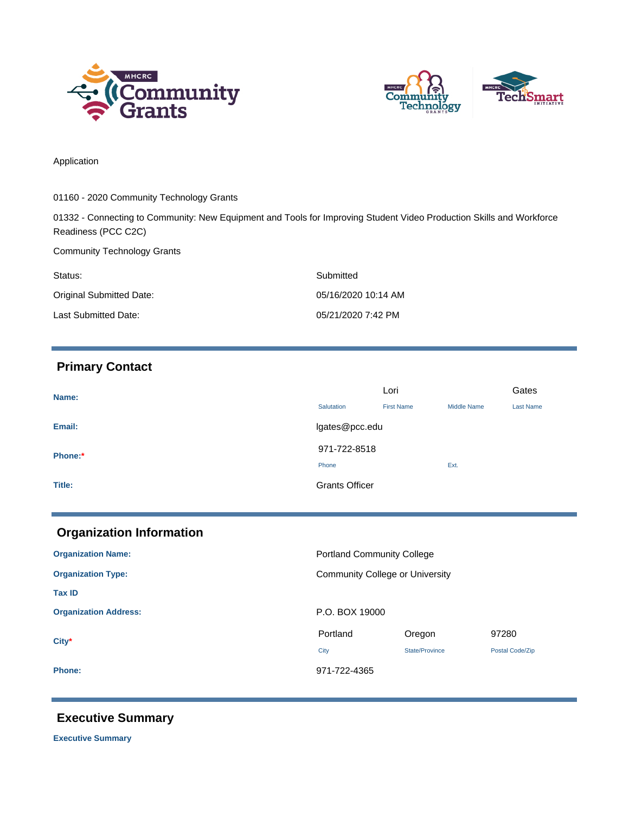



Application

01160 - 2020 Community Technology Grants

01332 - Connecting to Community: New Equipment and Tools for Improving Student Video Production Skills and Workforce Readiness (PCC C2C)

Community Technology Grants

| Status:                  | Submitted           |
|--------------------------|---------------------|
| Original Submitted Date: | 05/16/2020 10:14 AM |
| Last Submitted Date:     | 05/21/2020 7:42 PM  |

# **Primary Contact**

| Name:   | Lori                  |                   |                    | Gates            |
|---------|-----------------------|-------------------|--------------------|------------------|
|         | Salutation            | <b>First Name</b> | <b>Middle Name</b> | <b>Last Name</b> |
| Email:  | lgates@pcc.edu        |                   |                    |                  |
| Phone:* | 971-722-8518          |                   |                    |                  |
|         | Phone                 |                   | Ext.               |                  |
| Title:  | <b>Grants Officer</b> |                   |                    |                  |

| <b>Organization Information</b> |                                        |                |                 |
|---------------------------------|----------------------------------------|----------------|-----------------|
| <b>Organization Name:</b>       | <b>Portland Community College</b>      |                |                 |
| <b>Organization Type:</b>       | <b>Community College or University</b> |                |                 |
| <b>Tax ID</b>                   |                                        |                |                 |
| <b>Organization Address:</b>    | P.O. BOX 19000                         |                |                 |
| $City*$                         | Portland                               | Oregon         | 97280           |
|                                 | City                                   | State/Province | Postal Code/Zip |
| <b>Phone:</b>                   | 971-722-4365                           |                |                 |

# **Executive Summary**

**Executive Summary**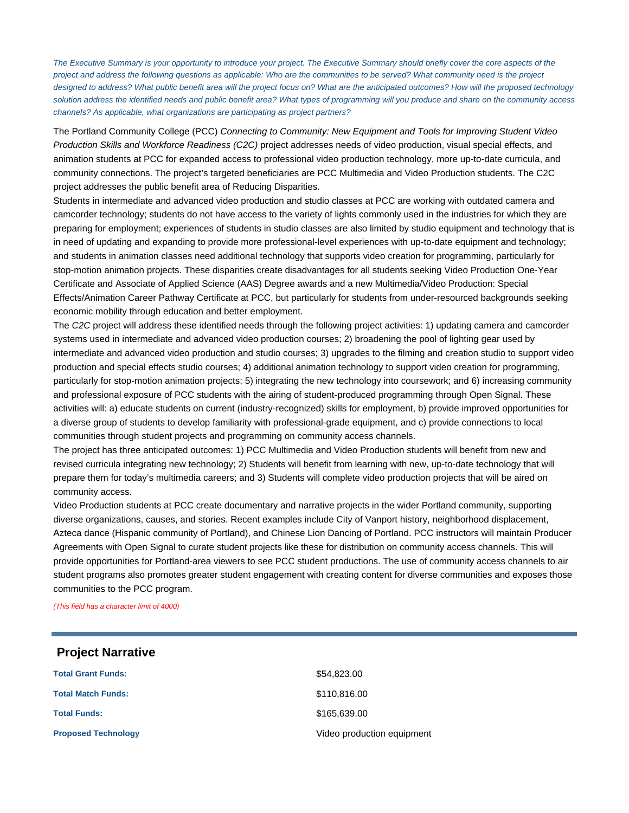The Executive Summary is your opportunity to introduce your project. The Executive Summary should briefly cover the core aspects of the project and address the following questions as applicable: Who are the communities to be served? What community need is the project designed to address? What public benefit area will the project focus on? What are the anticipated outcomes? How will the proposed technology solution address the identified needs and public benefit area? What types of programming will you produce and share on the community access channels? As applicable, what organizations are participating as project partners?

The Portland Community College (PCC) Connecting to Community: New Equipment and Tools for Improving Student Video Production Skills and Workforce Readiness (C2C) project addresses needs of video production, visual special effects, and animation students at PCC for expanded access to professional video production technology, more up-to-date curricula, and community connections. The project's targeted beneficiaries are PCC Multimedia and Video Production students. The C2C project addresses the public benefit area of Reducing Disparities.

Students in intermediate and advanced video production and studio classes at PCC are working with outdated camera and camcorder technology; students do not have access to the variety of lights commonly used in the industries for which they are preparing for employment; experiences of students in studio classes are also limited by studio equipment and technology that is in need of updating and expanding to provide more professional-level experiences with up-to-date equipment and technology; and students in animation classes need additional technology that supports video creation for programming, particularly for stop-motion animation projects. These disparities create disadvantages for all students seeking Video Production One-Year Certificate and Associate of Applied Science (AAS) Degree awards and a new Multimedia/Video Production: Special Effects/Animation Career Pathway Certificate at PCC, but particularly for students from under-resourced backgrounds seeking economic mobility through education and better employment.

The C2C project will address these identified needs through the following project activities: 1) updating camera and camcorder systems used in intermediate and advanced video production courses; 2) broadening the pool of lighting gear used by intermediate and advanced video production and studio courses; 3) upgrades to the filming and creation studio to support video production and special effects studio courses; 4) additional animation technology to support video creation for programming, particularly for stop-motion animation projects; 5) integrating the new technology into coursework; and 6) increasing community and professional exposure of PCC students with the airing of student-produced programming through Open Signal. These activities will: a) educate students on current (industry-recognized) skills for employment, b) provide improved opportunities for a diverse group of students to develop familiarity with professional-grade equipment, and c) provide connections to local communities through student projects and programming on community access channels.

The project has three anticipated outcomes: 1) PCC Multimedia and Video Production students will benefit from new and revised curricula integrating new technology; 2) Students will benefit from learning with new, up-to-date technology that will prepare them for today's multimedia careers; and 3) Students will complete video production projects that will be aired on community access.

Video Production students at PCC create documentary and narrative projects in the wider Portland community, supporting diverse organizations, causes, and stories. Recent examples include City of Vanport history, neighborhood displacement, Azteca dance (Hispanic community of Portland), and Chinese Lion Dancing of Portland. PCC instructors will maintain Producer Agreements with Open Signal to curate student projects like these for distribution on community access channels. This will provide opportunities for Portland-area viewers to see PCC student productions. The use of community access channels to air student programs also promotes greater student engagement with creating content for diverse communities and exposes those communities to the PCC program.

(This field has a character limit of 4000)

## **Project Narrative**

| <b>Total Grant Funds:</b>  | \$54,823.00                |
|----------------------------|----------------------------|
| <b>Total Match Funds:</b>  | \$110,816.00               |
| <b>Total Funds:</b>        | \$165,639.00               |
| <b>Proposed Technology</b> | Video production equipment |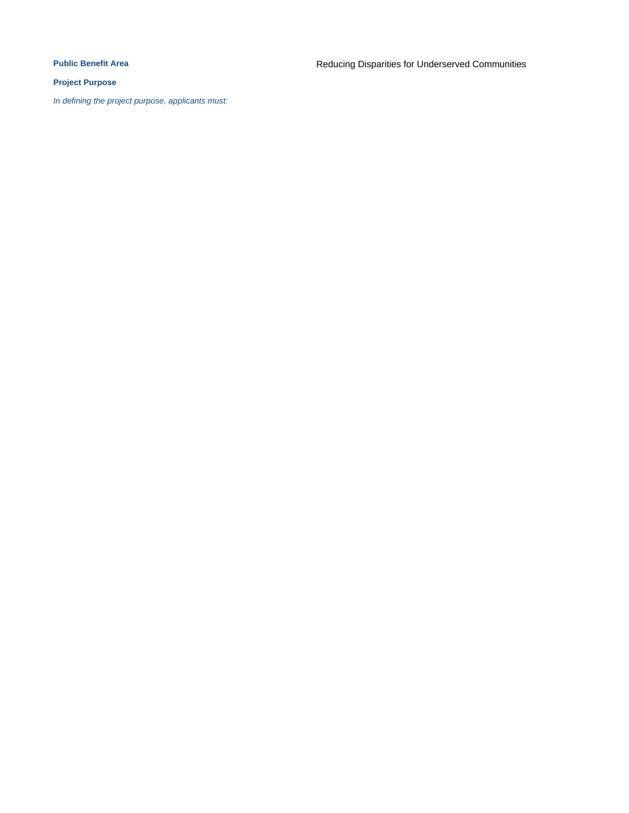### **Project Purpose**

In defining the project purpose, applicants must: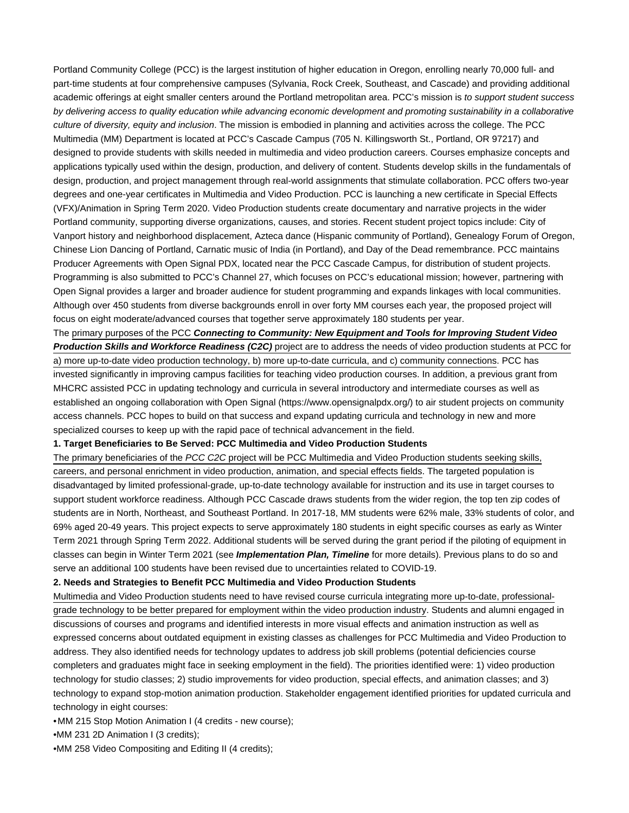Portland Community College (PCC) is the largest institution of higher education in Oregon, enrolling nearly 70,000 full- and part-time students at four comprehensive campuses (Sylvania, Rock Creek, Southeast, and Cascade) and providing additional academic offerings at eight smaller centers around the Portland metropolitan area. PCC's mission is to support student success by delivering access to quality education while advancing economic development and promoting sustainability in a collaborative culture of diversity, equity and inclusion. The mission is embodied in planning and activities across the college. The PCC Multimedia (MM) Department is located at PCC's Cascade Campus (705 N. Killingsworth St., Portland, OR 97217) and designed to provide students with skills needed in multimedia and video production careers. Courses emphasize concepts and applications typically used within the design, production, and delivery of content. Students develop skills in the fundamentals of design, production, and project management through real-world assignments that stimulate collaboration. PCC offers two-year degrees and one-year certificates in Multimedia and Video Production. PCC is launching a new certificate in Special Effects (VFX)/Animation in Spring Term 2020. Video Production students create documentary and narrative projects in the wider Portland community, supporting diverse organizations, causes, and stories. Recent student project topics include: City of Vanport history and neighborhood displacement, Azteca dance (Hispanic community of Portland), Genealogy Forum of Oregon, Chinese Lion Dancing of Portland, Carnatic music of India (in Portland), and Day of the Dead remembrance. PCC maintains Producer Agreements with Open Signal PDX, located near the PCC Cascade Campus, for distribution of student projects. Programming is also submitted to PCC's Channel 27, which focuses on PCC's educational mission; however, partnering with Open Signal provides a larger and broader audience for student programming and expands linkages with local communities. Although over 450 students from diverse backgrounds enroll in over forty MM courses each year, the proposed project will focus on eight moderate/advanced courses that together serve approximately 180 students per year.

The primary purposes of the PCC **Connecting to Community: New Equipment and Tools for Improving Student Video**

**Production Skills and Workforce Readiness (C2C)** project are to address the needs of video production students at PCC for a) more up-to-date video production technology, b) more up-to-date curricula, and c) community connections. PCC has invested significantly in improving campus facilities for teaching video production courses. In addition, a previous grant from MHCRC assisted PCC in updating technology and curricula in several introductory and intermediate courses as well as established an ongoing collaboration with Open Signal [\(https://www.opensignalpdx.org/](https://www.opensignalpdx.org/)) to air student projects on community access channels. PCC hopes to build on that success and expand updating curricula and technology in new and more specialized courses to keep up with the rapid pace of technical advancement in the field.

#### **1. Target Beneficiaries to Be Served: PCC Multimedia and Video Production Students**

The primary beneficiaries of the PCC C2C project will be PCC Multimedia and Video Production students seeking skills, careers, and personal enrichment in video production, animation, and special effects fields. The targeted population is disadvantaged by limited professional-grade, up-to-date technology available for instruction and its use in target courses to support student workforce readiness. Although PCC Cascade draws students from the wider region, the top ten zip codes of students are in North, Northeast, and Southeast Portland. In 2017-18, MM students were 62% male, 33% students of color, and 69% aged 20-49 years. This project expects to serve approximately 180 students in eight specific courses as early as Winter Term 2021 through Spring Term 2022. Additional students will be served during the grant period if the piloting of equipment in classes can begin in Winter Term 2021 (see **Implementation Plan, Timeline** for more details). Previous plans to do so and serve an additional 100 students have been revised due to uncertainties related to COVID-19.

#### **2. Needs and Strategies to Benefit PCC Multimedia and Video Production Students**

Multimedia and Video Production students need to have revised course curricula integrating more up-to-date, professionalgrade technology to be better prepared for employment within the video production industry. Students and alumni engaged in discussions of courses and programs and identified interests in more visual effects and animation instruction as well as expressed concerns about outdated equipment in existing classes as challenges for PCC Multimedia and Video Production to address. They also identified needs for technology updates to address job skill problems (potential deficiencies course completers and graduates might face in seeking employment in the field). The priorities identified were: 1) video production technology for studio classes; 2) studio improvements for video production, special effects, and animation classes; and 3) technology to expand stop-motion animation production. Stakeholder engagement identified priorities for updated curricula and technology in eight courses:

•MM 215 Stop Motion Animation I (4 credits - new course);

•MM 231 2D Animation I (3 credits);

•MM 258 Video Compositing and Editing II (4 credits);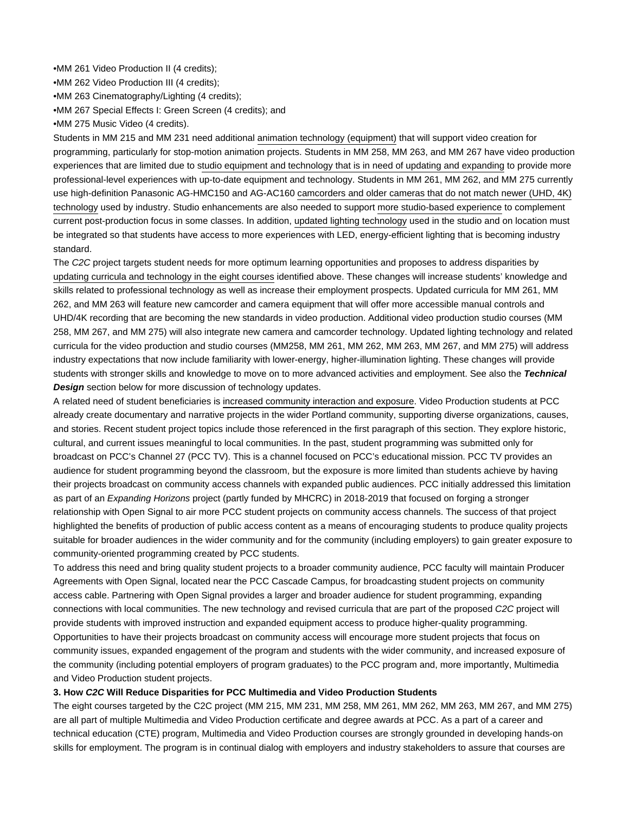•MM 261 Video Production II (4 credits);

•MM 262 Video Production III (4 credits);

•MM 263 Cinematography/Lighting (4 credits);

•MM 267 Special Effects I: Green Screen (4 credits); and

•MM 275 Music Video (4 credits).

Students in MM 215 and MM 231 need additional animation technology (equipment) that will support video creation for programming, particularly for stop-motion animation projects. Students in MM 258, MM 263, and MM 267 have video production experiences that are limited due to studio equipment and technology that is in need of updating and expanding to provide more professional-level experiences with up-to-date equipment and technology. Students in MM 261, MM 262, and MM 275 currently use high-definition Panasonic AG-HMC150 and AG-AC160 camcorders and older cameras that do not match newer (UHD, 4K) technology used by industry. Studio enhancements are also needed to support more studio-based experience to complement current post-production focus in some classes. In addition, updated lighting technology used in the studio and on location must be integrated so that students have access to more experiences with LED, energy-efficient lighting that is becoming industry standard.

The C2C project targets student needs for more optimum learning opportunities and proposes to address disparities by updating curricula and technology in the eight courses identified above. These changes will increase students' knowledge and skills related to professional technology as well as increase their employment prospects. Updated curricula for MM 261, MM 262, and MM 263 will feature new camcorder and camera equipment that will offer more accessible manual controls and UHD/4K recording that are becoming the new standards in video production. Additional video production studio courses (MM 258, MM 267, and MM 275) will also integrate new camera and camcorder technology. Updated lighting technology and related curricula for the video production and studio courses (MM258, MM 261, MM 262, MM 263, MM 267, and MM 275) will address industry expectations that now include familiarity with lower-energy, higher-illumination lighting. These changes will provide students with stronger skills and knowledge to move on to more advanced activities and employment. See also the **Technical Design** section below for more discussion of technology updates.

A related need of student beneficiaries is increased community interaction and exposure. Video Production students at PCC already create documentary and narrative projects in the wider Portland community, supporting diverse organizations, causes, and stories. Recent student project topics include those referenced in the first paragraph of this section. They explore historic, cultural, and current issues meaningful to local communities. In the past, student programming was submitted only for broadcast on PCC's Channel 27 (PCC TV). This is a channel focused on PCC's educational mission. PCC TV provides an audience for student programming beyond the classroom, but the exposure is more limited than students achieve by having their projects broadcast on community access channels with expanded public audiences. PCC initially addressed this limitation as part of an *Expanding Horizons* project (partly funded by MHCRC) in 2018-2019 that focused on forging a stronger relationship with Open Signal to air more PCC student projects on community access channels. The success of that project highlighted the benefits of production of public access content as a means of encouraging students to produce quality projects suitable for broader audiences in the wider community and for the community (including employers) to gain greater exposure to community-oriented programming created by PCC students.

To address this need and bring quality student projects to a broader community audience, PCC faculty will maintain Producer Agreements with Open Signal, located near the PCC Cascade Campus, for broadcasting student projects on community access cable. Partnering with Open Signal provides a larger and broader audience for student programming, expanding connections with local communities. The new technology and revised curricula that are part of the proposed C2C project will provide students with improved instruction and expanded equipment access to produce higher-quality programming. Opportunities to have their projects broadcast on community access will encourage more student projects that focus on community issues, expanded engagement of the program and students with the wider community, and increased exposure of the community (including potential employers of program graduates) to the PCC program and, more importantly, Multimedia and Video Production student projects.

### **3. How C2C Will Reduce Disparities for PCC Multimedia and Video Production Students**

The eight courses targeted by the C2C project (MM 215, MM 231, MM 258, MM 261, MM 262, MM 263, MM 267, and MM 275) are all part of multiple Multimedia and Video Production certificate and degree awards at PCC. As a part of a career and technical education (CTE) program, Multimedia and Video Production courses are strongly grounded in developing hands-on skills for employment. The program is in continual dialog with employers and industry stakeholders to assure that courses are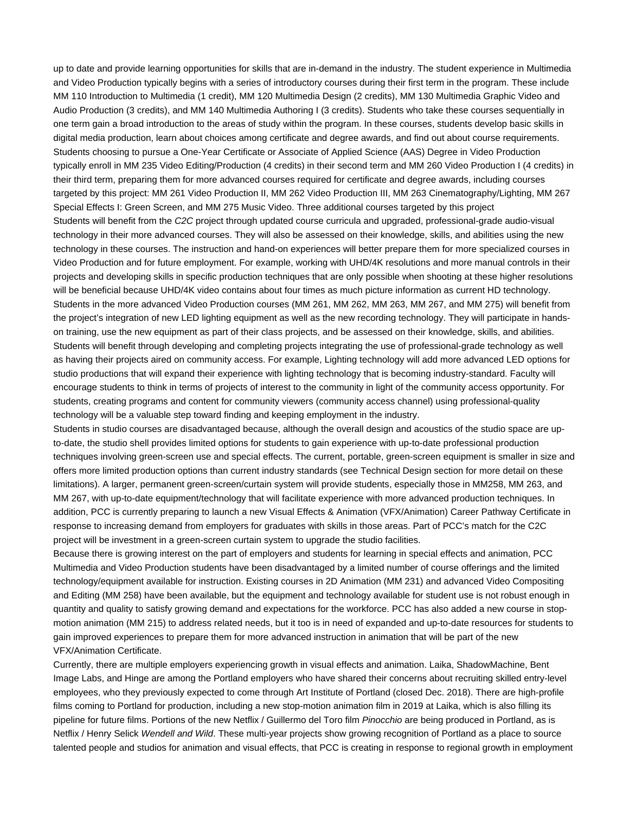up to date and provide learning opportunities for skills that are in-demand in the industry. The student experience in Multimedia and Video Production typically begins with a series of introductory courses during their first term in the program. These include MM 110 Introduction to Multimedia (1 credit), MM 120 Multimedia Design (2 credits), MM 130 Multimedia Graphic Video and Audio Production (3 credits), and MM 140 Multimedia Authoring I (3 credits). Students who take these courses sequentially in one term gain a broad introduction to the areas of study within the program. In these courses, students develop basic skills in digital media production, learn about choices among certificate and degree awards, and find out about course requirements. Students choosing to pursue a One-Year Certificate or Associate of Applied Science (AAS) Degree in Video Production typically enroll in MM 235 Video Editing/Production (4 credits) in their second term and MM 260 Video Production I (4 credits) in their third term, preparing them for more advanced courses required for certificate and degree awards, including courses targeted by this project: MM 261 Video Production II, MM 262 Video Production III, MM 263 Cinematography/Lighting, MM 267 Special Effects I: Green Screen, and MM 275 Music Video. Three additional courses targeted by this project Students will benefit from the C2C project through updated course curricula and upgraded, professional-grade audio-visual technology in their more advanced courses. They will also be assessed on their knowledge, skills, and abilities using the new technology in these courses. The instruction and hand-on experiences will better prepare them for more specialized courses in Video Production and for future employment. For example, working with UHD/4K resolutions and more manual controls in their projects and developing skills in specific production techniques that are only possible when shooting at these higher resolutions will be beneficial because UHD/4K video contains about four times as much picture information as current HD technology. Students in the more advanced Video Production courses (MM 261, MM 262, MM 263, MM 267, and MM 275) will benefit from the project's integration of new LED lighting equipment as well as the new recording technology. They will participate in handson training, use the new equipment as part of their class projects, and be assessed on their knowledge, skills, and abilities. Students will benefit through developing and completing projects integrating the use of professional-grade technology as well as having their projects aired on community access. For example, Lighting technology will add more advanced LED options for studio productions that will expand their experience with lighting technology that is becoming industry-standard. Faculty will encourage students to think in terms of projects of interest to the community in light of the community access opportunity. For students, creating programs and content for community viewers (community access channel) using professional-quality technology will be a valuable step toward finding and keeping employment in the industry.

Students in studio courses are disadvantaged because, although the overall design and acoustics of the studio space are upto-date, the studio shell provides limited options for students to gain experience with up-to-date professional production techniques involving green-screen use and special effects. The current, portable, green-screen equipment is smaller in size and offers more limited production options than current industry standards (see Technical Design section for more detail on these limitations). A larger, permanent green-screen/curtain system will provide students, especially those in MM258, MM 263, and MM 267, with up-to-date equipment/technology that will facilitate experience with more advanced production techniques. In addition, PCC is currently preparing to launch a new Visual Effects & Animation (VFX/Animation) Career Pathway Certificate in response to increasing demand from employers for graduates with skills in those areas. Part of PCC's match for the C2C project will be investment in a green-screen curtain system to upgrade the studio facilities.

Because there is growing interest on the part of employers and students for learning in special effects and animation, PCC Multimedia and Video Production students have been disadvantaged by a limited number of course offerings and the limited technology/equipment available for instruction. Existing courses in 2D Animation (MM 231) and advanced Video Compositing and Editing (MM 258) have been available, but the equipment and technology available for student use is not robust enough in quantity and quality to satisfy growing demand and expectations for the workforce. PCC has also added a new course in stopmotion animation (MM 215) to address related needs, but it too is in need of expanded and up-to-date resources for students to gain improved experiences to prepare them for more advanced instruction in animation that will be part of the new VFX/Animation Certificate.

Currently, there are multiple employers experiencing growth in visual effects and animation. Laika, ShadowMachine, Bent Image Labs, and Hinge are among the Portland employers who have shared their concerns about recruiting skilled entry-level employees, who they previously expected to come through Art Institute of Portland (closed Dec. 2018). There are high-profile films coming to Portland for production, including a new stop-motion animation film in 2019 at Laika, which is also filling its pipeline for future films. Portions of the new Netflix / Guillermo del Toro film Pinocchio are being produced in Portland, as is Netflix / Henry Selick Wendell and Wild. These multi-year projects show growing recognition of Portland as a place to source talented people and studios for animation and visual effects, that PCC is creating in response to regional growth in employment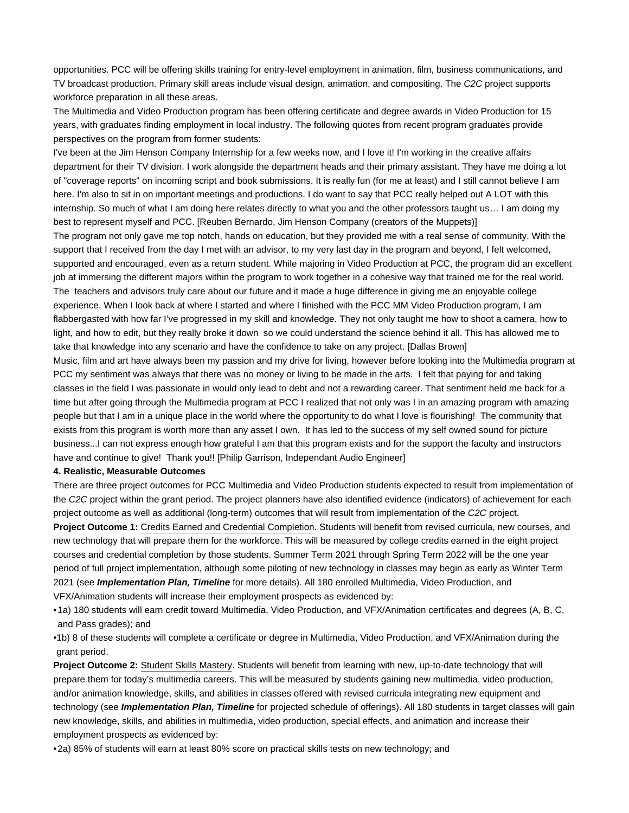opportunities. PCC will be offering skills training for entry-level employment in animation, film, business communications, and TV broadcast production. Primary skill areas include visual design, animation, and compositing. The C2C project supports workforce preparation in all these areas.

The Multimedia and Video Production program has been offering certificate and degree awards in Video Production for 15 years, with graduates finding employment in local industry. The following quotes from recent program graduates provide perspectives on the program from former students:

I've been at the Jim Henson Company Internship for a few weeks now, and I love it! I'm working in the creative affairs department for their TV division. I work alongside the department heads and their primary assistant. They have me doing a lot of "coverage reports" on incoming script and book submissions. It is really fun (for me at least) and I still cannot believe I am here. I'm also to sit in on important meetings and productions. I do want to say that PCC really helped out A LOT with this internship. So much of what I am doing here relates directly to what you and the other professors taught us… I am doing my best to represent myself and PCC. [Reuben Bernardo, Jim Henson Company (creators of the Muppets)] The program not only gave me top notch, hands on education, but they provided me with a real sense of community. With the support that I received from the day I met with an advisor, to my very last day in the program and beyond, I felt welcomed, supported and encouraged, even as a return student. While majoring in Video Production at PCC, the program did an excellent job at immersing the different majors within the program to work together in a cohesive way that trained me for the real world. The teachers and advisors truly care about our future and it made a huge difference in giving me an enjoyable college experience. When I look back at where I started and where I finished with the PCC MM Video Production program, I am flabbergasted with how far I've progressed in my skill and knowledge. They not only taught me how to shoot a camera, how to light, and how to edit, but they really broke it down so we could understand the science behind it all. This has allowed me to take that knowledge into any scenario and have the confidence to take on any project. [Dallas Brown] Music, film and art have always been my passion and my drive for living, however before looking into the Multimedia program at PCC my sentiment was always that there was no money or living to be made in the arts. I felt that paying for and taking

classes in the field I was passionate in would only lead to debt and not a rewarding career. That sentiment held me back for a time but after going through the Multimedia program at PCC I realized that not only was I in an amazing program with amazing people but that I am in a unique place in the world where the opportunity to do what I love is flourishing! The community that exists from this program is worth more than any asset I own. It has led to the success of my self owned sound for picture business...I can not express enough how grateful I am that this program exists and for the support the faculty and instructors have and continue to give! Thank you!! [Philip Garrison, Independant Audio Engineer]

#### **4. Realistic, Measurable Outcomes**

There are three project outcomes for PCC Multimedia and Video Production students expected to result from implementation of the C2C project within the grant period. The project planners have also identified evidence (indicators) of achievement for each project outcome as well as additional (long-term) outcomes that will result from implementation of the C2C project.

**Project Outcome 1:** Credits Earned and Credential Completion. Students will benefit from revised curricula, new courses, and new technology that will prepare them for the workforce. This will be measured by college credits earned in the eight project courses and credential completion by those students. Summer Term 2021 through Spring Term 2022 will be the one year period of full project implementation, although some piloting of new technology in classes may begin as early as Winter Term 2021 (see **Implementation Plan, Timeline** for more details). All 180 enrolled Multimedia, Video Production, and VFX/Animation students will increase their employment prospects as evidenced by:

•1a) 180 students will earn credit toward Multimedia, Video Production, and VFX/Animation certificates and degrees (A, B, C, and Pass grades); and

1b) 8 of these students will complete a certificate or degree in Multimedia, Video Production, and VFX/Animation during the • grant period.

**Project Outcome 2:** Student Skills Mastery. Students will benefit from learning with new, up-to-date technology that will prepare them for today's multimedia careers. This will be measured by students gaining new multimedia, video production, and/or animation knowledge, skills, and abilities in classes offered with revised curricula integrating new equipment and technology (see **Implementation Plan, Timeline** for projected schedule of offerings). All 180 students in target classes will gain new knowledge, skills, and abilities in multimedia, video production, special effects, and animation and increase their employment prospects as evidenced by:

•2a) 85% of students will earn at least 80% score on practical skills tests on new technology; and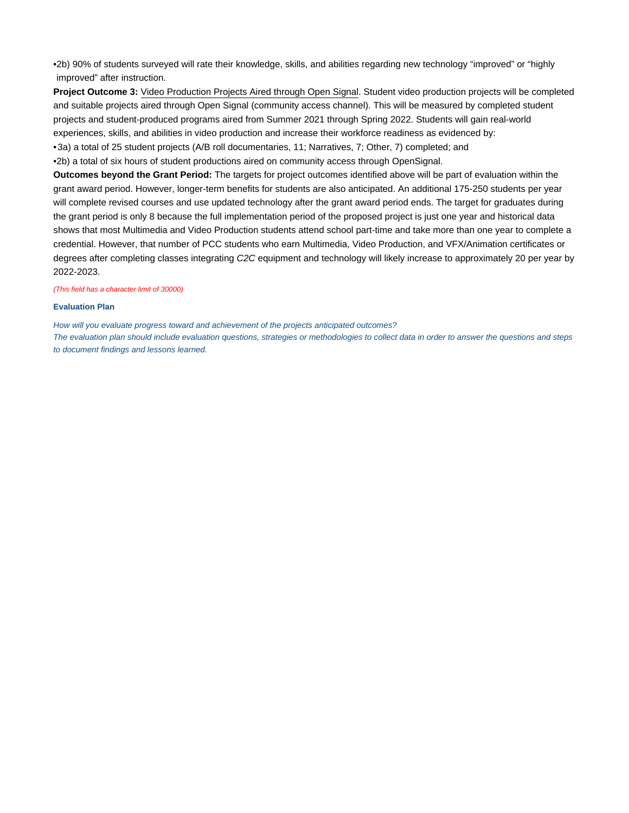•2b) 90% of students surveyed will rate their knowledge, skills, and abilities regarding new technology "improved" or "highly improved" after instruction.

**Project Outcome 3:** Video Production Projects Aired through Open Signal. Student video production projects will be completed and suitable projects aired through Open Signal (community access channel). This will be measured by completed student projects and student-produced programs aired from Summer 2021 through Spring 2022. Students will gain real-world experiences, skills, and abilities in video production and increase their workforce readiness as evidenced by: •3a) a total of 25 student projects (A/B roll documentaries, 11; Narratives, 7; Other, 7) completed; and •2b) a total of six hours of student productions aired on community access through OpenSignal.

**Outcomes beyond the Grant Period:** The targets for project outcomes identified above will be part of evaluation within the grant award period. However, longer-term benefits for students are also anticipated. An additional 175-250 students per year will complete revised courses and use updated technology after the grant award period ends. The target for graduates during the grant period is only 8 because the full implementation period of the proposed project is just one year and historical data shows that most Multimedia and Video Production students attend school part-time and take more than one year to complete a credential. However, that number of PCC students who earn Multimedia, Video Production, and VFX/Animation certificates or degrees after completing classes integrating C2C equipment and technology will likely increase to approximately 20 per year by 2022-2023.

#### (This field has a character limit of 30000)

#### **Evaluation Plan**

How will you evaluate progress toward and achievement of the projects anticipated outcomes? The evaluation plan should include evaluation questions, strategies or methodologies to collect data in order to answer the questions and steps to document findings and lessons learned.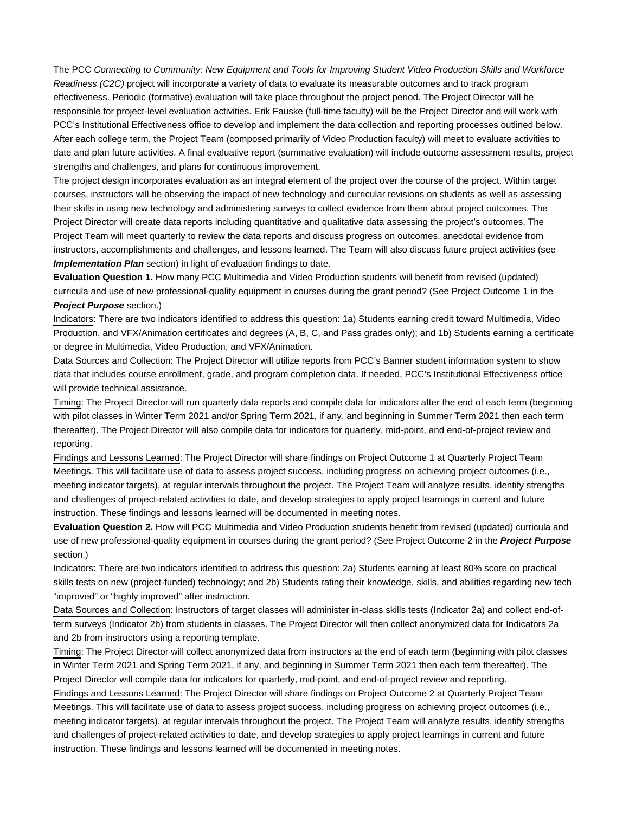The PCC Connecting to Community: New Equipment and Tools for Improving Student Video Production Skills and Workforce Readiness (C2C) project will incorporate a variety of data to evaluate its measurable outcomes and to track program effectiveness. Periodic (formative) evaluation will take place throughout the project period. The Project Director will be responsible for project-level evaluation activities. Erik Fauske (full-time faculty) will be the Project Director and will work with PCC's Institutional Effectiveness office to develop and implement the data collection and reporting processes outlined below. After each college term, the Project Team (composed primarily of Video Production faculty) will meet to evaluate activities to date and plan future activities. A final evaluative report (summative evaluation) will include outcome assessment results, project strengths and challenges, and plans for continuous improvement.

The project design incorporates evaluation as an integral element of the project over the course of the project. Within target courses, instructors will be observing the impact of new technology and curricular revisions on students as well as assessing their skills in using new technology and administering surveys to collect evidence from them about project outcomes. The Project Director will create data reports including quantitative and qualitative data assessing the project's outcomes. The Project Team will meet quarterly to review the data reports and discuss progress on outcomes, anecdotal evidence from instructors, accomplishments and challenges, and lessons learned. The Team will also discuss future project activities (see **Implementation Plan** section) in light of evaluation findings to date.

**Evaluation Question 1.** How many PCC Multimedia and Video Production students will benefit from revised (updated) curricula and use of new professional-quality equipment in courses during the grant period? (See Project Outcome 1 in the **Project Purpose** section.)

Indicators: There are two indicators identified to address this question: 1a) Students earning credit toward Multimedia, Video Production, and VFX/Animation certificates and degrees (A, B, C, and Pass grades only); and 1b) Students earning a certificate or degree in Multimedia, Video Production, and VFX/Animation.

Data Sources and Collection: The Project Director will utilize reports from PCC's Banner student information system to show data that includes course enrollment, grade, and program completion data. If needed, PCC's Institutional Effectiveness office will provide technical assistance.

Timing: The Project Director will run quarterly data reports and compile data for indicators after the end of each term (beginning with pilot classes in Winter Term 2021 and/or Spring Term 2021, if any, and beginning in Summer Term 2021 then each term thereafter). The Project Director will also compile data for indicators for quarterly, mid-point, and end-of-project review and reporting.

Findings and Lessons Learned: The Project Director will share findings on Project Outcome 1 at Quarterly Project Team Meetings. This will facilitate use of data to assess project success, including progress on achieving project outcomes (i.e., meeting indicator targets), at regular intervals throughout the project. The Project Team will analyze results, identify strengths and challenges of project-related activities to date, and develop strategies to apply project learnings in current and future instruction. These findings and lessons learned will be documented in meeting notes.

**Evaluation Question 2.** How will PCC Multimedia and Video Production students benefit from revised (updated) curricula and use of new professional-quality equipment in courses during the grant period? (See Project Outcome 2 in the **Project Purpose** section.)

Indicators: There are two indicators identified to address this question: 2a) Students earning at least 80% score on practical skills tests on new (project-funded) technology; and 2b) Students rating their knowledge, skills, and abilities regarding new tech "improved" or "highly improved" after instruction.

Data Sources and Collection: Instructors of target classes will administer in-class skills tests (Indicator 2a) and collect end-ofterm surveys (Indicator 2b) from students in classes. The Project Director will then collect anonymized data for Indicators 2a and 2b from instructors using a reporting template.

Timing: The Project Director will collect anonymized data from instructors at the end of each term (beginning with pilot classes in Winter Term 2021 and Spring Term 2021, if any, and beginning in Summer Term 2021 then each term thereafter). The Project Director will compile data for indicators for quarterly, mid-point, and end-of-project review and reporting.

Findings and Lessons Learned: The Project Director will share findings on Project Outcome 2 at Quarterly Project Team Meetings. This will facilitate use of data to assess project success, including progress on achieving project outcomes (i.e., meeting indicator targets), at regular intervals throughout the project. The Project Team will analyze results, identify strengths and challenges of project-related activities to date, and develop strategies to apply project learnings in current and future instruction. These findings and lessons learned will be documented in meeting notes.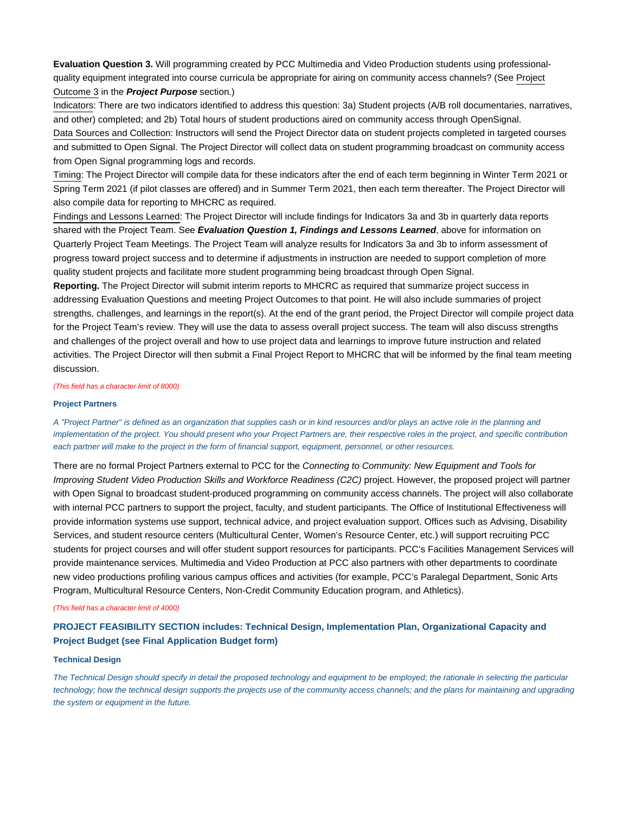**Evaluation Question 3.** Will programming created by PCC Multimedia and Video Production students using professionalquality equipment integrated into course curricula be appropriate for airing on community access channels? (See Project Outcome 3 in the **Project Purpose** section.)

Indicators: There are two indicators identified to address this question: 3a) Student projects (A/B roll documentaries, narratives, and other) completed; and 2b) Total hours of student productions aired on community access through OpenSignal.

Data Sources and Collection: Instructors will send the Project Director data on student projects completed in targeted courses and submitted to Open Signal. The Project Director will collect data on student programming broadcast on community access from Open Signal programming logs and records.

Timing: The Project Director will compile data for these indicators after the end of each term beginning in Winter Term 2021 or Spring Term 2021 (if pilot classes are offered) and in Summer Term 2021, then each term thereafter. The Project Director will also compile data for reporting to MHCRC as required.

Findings and Lessons Learned: The Project Director will include findings for Indicators 3a and 3b in quarterly data reports shared with the Project Team. See **Evaluation Question 1, Findings and Lessons Learned**, above for information on Quarterly Project Team Meetings. The Project Team will analyze results for Indicators 3a and 3b to inform assessment of progress toward project success and to determine if adjustments in instruction are needed to support completion of more quality student projects and facilitate more student programming being broadcast through Open Signal.

**Reporting.** The Project Director will submit interim reports to MHCRC as required that summarize project success in addressing Evaluation Questions and meeting Project Outcomes to that point. He will also include summaries of project strengths, challenges, and learnings in the report(s). At the end of the grant period, the Project Director will compile project data for the Project Team's review. They will use the data to assess overall project success. The team will also discuss strengths and challenges of the project overall and how to use project data and learnings to improve future instruction and related activities. The Project Director will then submit a Final Project Report to MHCRC that will be informed by the final team meeting discussion.

(This field has a character limit of 8000)

#### **Project Partners**

A "Project Partner" is defined as an organization that supplies cash or in kind resources and/or plays an active role in the planning and implementation of the project. You should present who your Project Partners are, their respective roles in the project, and specific contribution each partner will make to the project in the form of financial support, equipment, personnel, or other resources.

There are no formal Project Partners external to PCC for the Connecting to Community: New Equipment and Tools for Improving Student Video Production Skills and Workforce Readiness (C2C) project. However, the proposed project will partner with Open Signal to broadcast student-produced programming on community access channels. The project will also collaborate with internal PCC partners to support the project, faculty, and student participants. The Office of Institutional Effectiveness will provide information systems use support, technical advice, and project evaluation support. Offices such as Advising, Disability Services, and student resource centers (Multicultural Center, Women's Resource Center, etc.) will support recruiting PCC students for project courses and will offer student support resources for participants. PCC's Facilities Management Services will provide maintenance services. Multimedia and Video Production at PCC also partners with other departments to coordinate new video productions profiling various campus offices and activities (for example, PCC's Paralegal Department, Sonic Arts Program, Multicultural Resource Centers, Non-Credit Community Education program, and Athletics).

#### (This field has a character limit of 4000)

## **PROJECT FEASIBILITY SECTION includes: Technical Design, Implementation Plan, Organizational Capacity and Project Budget (see Final Application Budget form)**

#### **Technical Design**

The Technical Design should specify in detail the proposed technology and equipment to be employed; the rationale in selecting the particular technology; how the technical design supports the projects use of the community access channels; and the plans for maintaining and upgrading the system or equipment in the future.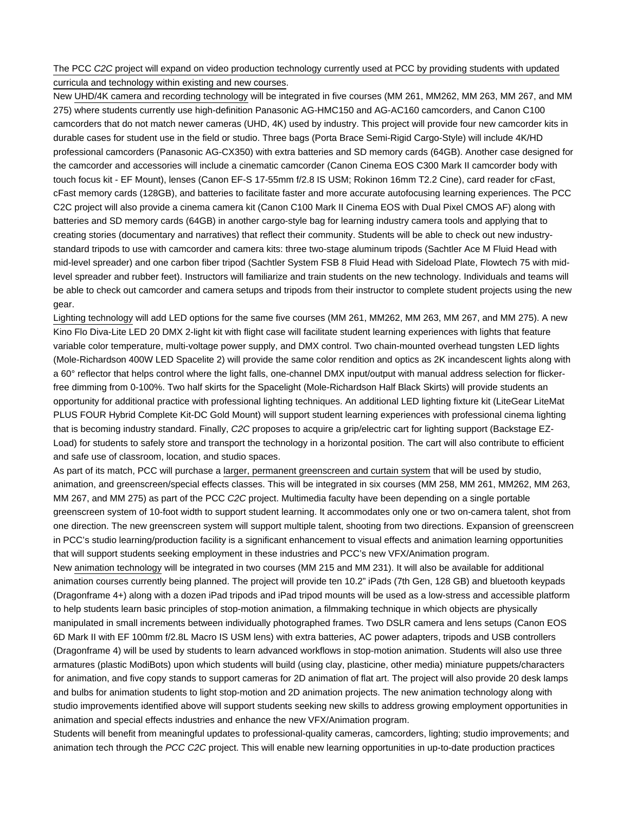## The PCC C2C project will expand on video production technology currently used at PCC by providing students with updated curricula and technology within existing and new courses.

New UHD/4K camera and recording technology will be integrated in five courses (MM 261, MM262, MM 263, MM 267, and MM 275) where students currently use high-definition Panasonic AG-HMC150 and AG-AC160 camcorders, and Canon C100 camcorders that do not match newer cameras (UHD, 4K) used by industry. This project will provide four new camcorder kits in durable cases for student use in the field or studio. Three bags (Porta Brace Semi-Rigid Cargo-Style) will include 4K/HD professional camcorders (Panasonic AG-CX350) with extra batteries and SD memory cards (64GB). Another case designed for the camcorder and accessories will include a cinematic camcorder (Canon Cinema EOS C300 Mark II camcorder body with touch focus kit - EF Mount), lenses (Canon EF-S 17-55mm f/2.8 IS USM; Rokinon 16mm T2.2 Cine), card reader for cFast, cFast memory cards (128GB), and batteries to facilitate faster and more accurate autofocusing learning experiences. The PCC C2C project will also provide a cinema camera kit (Canon C100 Mark II Cinema EOS with Dual Pixel CMOS AF) along with batteries and SD memory cards (64GB) in another cargo-style bag for learning industry camera tools and applying that to creating stories (documentary and narratives) that reflect their community. Students will be able to check out new industrystandard tripods to use with camcorder and camera kits: three two-stage aluminum tripods (Sachtler Ace M Fluid Head with mid-level spreader) and one carbon fiber tripod (Sachtler System FSB 8 Fluid Head with Sideload Plate, Flowtech 75 with midlevel spreader and rubber feet). Instructors will familiarize and train students on the new technology. Individuals and teams will be able to check out camcorder and camera setups and tripods from their instructor to complete student projects using the new gear.

Lighting technology will add LED options for the same five courses (MM 261, MM262, MM 263, MM 267, and MM 275). A new Kino Flo Diva-Lite LED 20 DMX 2-light kit with flight case will facilitate student learning experiences with lights that feature variable color temperature, multi-voltage power supply, and DMX control. Two chain-mounted overhead tungsten LED lights (Mole-Richardson 400W LED Spacelite 2) will provide the same color rendition and optics as 2K incandescent lights along with a 60° reflector that helps control where the light falls, one-channel DMX input/output with manual address selection for flickerfree dimming from 0-100%. Two half skirts for the Spacelight (Mole-Richardson Half Black Skirts) will provide students an opportunity for additional practice with professional lighting techniques. An additional LED lighting fixture kit (LiteGear LiteMat PLUS FOUR Hybrid Complete Kit-DC Gold Mount) will support student learning experiences with professional cinema lighting that is becoming industry standard. Finally, C2C proposes to acquire a grip/electric cart for lighting support (Backstage EZ-Load) for students to safely store and transport the technology in a horizontal position. The cart will also contribute to efficient and safe use of classroom, location, and studio spaces.

As part of its match, PCC will purchase a larger, permanent greenscreen and curtain system that will be used by studio, animation, and greenscreen/special effects classes. This will be integrated in six courses (MM 258, MM 261, MM262, MM 263, MM 267, and MM 275) as part of the PCC C2C project. Multimedia faculty have been depending on a single portable greenscreen system of 10-foot width to support student learning. It accommodates only one or two on-camera talent, shot from one direction. The new greenscreen system will support multiple talent, shooting from two directions. Expansion of greenscreen in PCC's studio learning/production facility is a significant enhancement to visual effects and animation learning opportunities that will support students seeking employment in these industries and PCC's new VFX/Animation program.

New animation technology will be integrated in two courses (MM 215 and MM 231). It will also be available for additional animation courses currently being planned. The project will provide ten 10.2" iPads (7th Gen, 128 GB) and bluetooth keypads (Dragonframe 4+) along with a dozen iPad tripods and iPad tripod mounts will be used as a low-stress and accessible platform to help students learn basic principles of stop-motion animation, a filmmaking technique in which objects are physically manipulated in small increments between individually photographed frames. Two DSLR camera and lens setups (Canon EOS 6D Mark II with EF 100mm f/2.8L Macro IS USM lens) with extra batteries, AC power adapters, tripods and USB controllers (Dragonframe 4) will be used by students to learn advanced workflows in stop-motion animation. Students will also use three armatures (plastic ModiBots) upon which students will build (using clay, plasticine, other media) miniature puppets/characters for animation, and five copy stands to support cameras for 2D animation of flat art. The project will also provide 20 desk lamps and bulbs for animation students to light stop-motion and 2D animation projects. The new animation technology along with studio improvements identified above will support students seeking new skills to address growing employment opportunities in animation and special effects industries and enhance the new VFX/Animation program.

Students will benefit from meaningful updates to professional-quality cameras, camcorders, lighting; studio improvements; and animation tech through the PCC C2C project. This will enable new learning opportunities in up-to-date production practices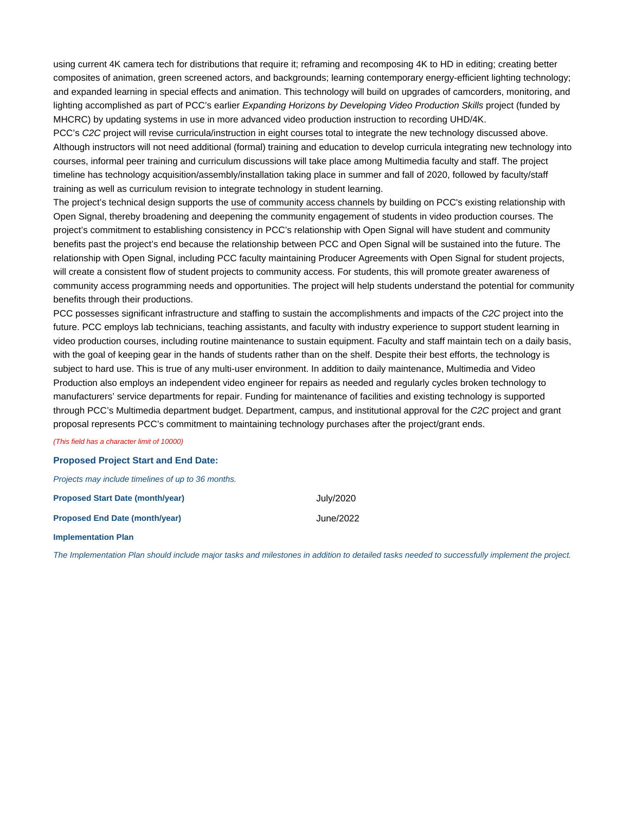using current 4K camera tech for distributions that require it; reframing and recomposing 4K to HD in editing; creating better composites of animation, green screened actors, and backgrounds; learning contemporary energy-efficient lighting technology; and expanded learning in special effects and animation. This technology will build on upgrades of camcorders, monitoring, and lighting accomplished as part of PCC's earlier Expanding Horizons by Developing Video Production Skills project (funded by MHCRC) by updating systems in use in more advanced video production instruction to recording UHD/4K.

PCC's C2C project will revise curricula/instruction in eight courses total to integrate the new technology discussed above. Although instructors will not need additional (formal) training and education to develop curricula integrating new technology into courses, informal peer training and curriculum discussions will take place among Multimedia faculty and staff. The project timeline has technology acquisition/assembly/installation taking place in summer and fall of 2020, followed by faculty/staff training as well as curriculum revision to integrate technology in student learning.

The project's technical design supports the use of community access channels by building on PCC's existing relationship with Open Signal, thereby broadening and deepening the community engagement of students in video production courses. The project's commitment to establishing consistency in PCC's relationship with Open Signal will have student and community benefits past the project's end because the relationship between PCC and Open Signal will be sustained into the future. The relationship with Open Signal, including PCC faculty maintaining Producer Agreements with Open Signal for student projects, will create a consistent flow of student projects to community access. For students, this will promote greater awareness of community access programming needs and opportunities. The project will help students understand the potential for community benefits through their productions.

PCC possesses significant infrastructure and staffing to sustain the accomplishments and impacts of the C2C project into the future. PCC employs lab technicians, teaching assistants, and faculty with industry experience to support student learning in video production courses, including routine maintenance to sustain equipment. Faculty and staff maintain tech on a daily basis, with the goal of keeping gear in the hands of students rather than on the shelf. Despite their best efforts, the technology is subject to hard use. This is true of any multi-user environment. In addition to daily maintenance, Multimedia and Video Production also employs an independent video engineer for repairs as needed and regularly cycles broken technology to manufacturers' service departments for repair. Funding for maintenance of facilities and existing technology is supported through PCC's Multimedia department budget. Department, campus, and institutional approval for the C2C project and grant proposal represents PCC's commitment to maintaining technology purchases after the project/grant ends.

(This field has a character limit of 10000)

#### **Proposed Project Start and End Date:**

Projects may include timelines of up to 36 months.

**Proposed Start Date (month/year)** July/2020

**Proposed End Date (month/year) June/2022** 

**Implementation Plan**

The Implementation Plan should include major tasks and milestones in addition to detailed tasks needed to successfully implement the project.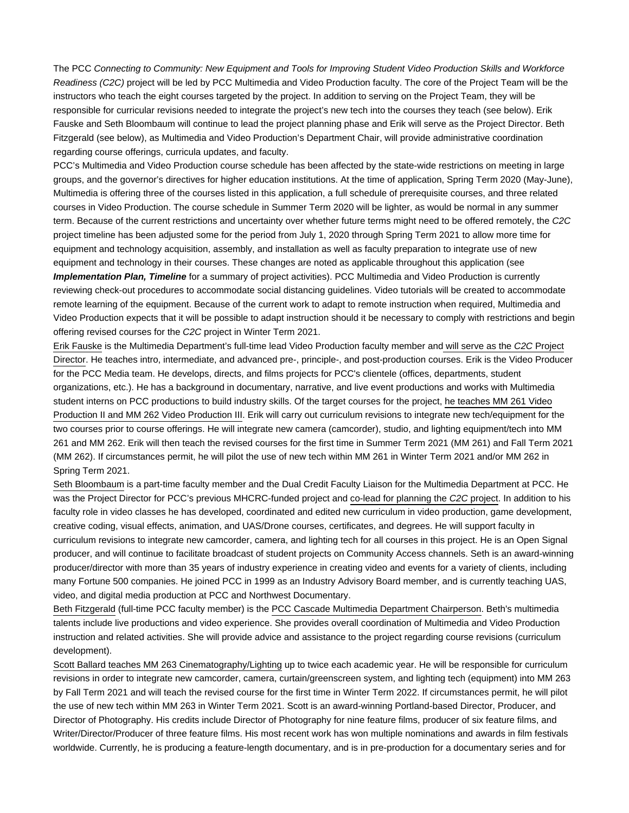The PCC Connecting to Community: New Equipment and Tools for Improving Student Video Production Skills and Workforce Readiness (C2C) project will be led by PCC Multimedia and Video Production faculty. The core of the Project Team will be the instructors who teach the eight courses targeted by the project. In addition to serving on the Project Team, they will be responsible for curricular revisions needed to integrate the project's new tech into the courses they teach (see below). Erik Fauske and Seth Bloombaum will continue to lead the project planning phase and Erik will serve as the Project Director. Beth Fitzgerald (see below), as Multimedia and Video Production's Department Chair, will provide administrative coordination regarding course offerings, curricula updates, and faculty.

PCC's Multimedia and Video Production course schedule has been affected by the state-wide restrictions on meeting in large groups, and the governor's directives for higher education institutions. At the time of application, Spring Term 2020 (May-June), Multimedia is offering three of the courses listed in this application, a full schedule of prerequisite courses, and three related courses in Video Production. The course schedule in Summer Term 2020 will be lighter, as would be normal in any summer term. Because of the current restrictions and uncertainty over whether future terms might need to be offered remotely, the C2C project timeline has been adjusted some for the period from July 1, 2020 through Spring Term 2021 to allow more time for equipment and technology acquisition, assembly, and installation as well as faculty preparation to integrate use of new equipment and technology in their courses. These changes are noted as applicable throughout this application (see

**Implementation Plan, Timeline** for a summary of project activities). PCC Multimedia and Video Production is currently reviewing check-out procedures to accommodate social distancing guidelines. Video tutorials will be created to accommodate remote learning of the equipment. Because of the current work to adapt to remote instruction when required, Multimedia and Video Production expects that it will be possible to adapt instruction should it be necessary to comply with restrictions and begin offering revised courses for the C2C project in Winter Term 2021.

Erik Fauske is the Multimedia Department's full-time lead Video Production faculty member and will serve as the C2C Project Director. He teaches intro, intermediate, and advanced pre-, principle-, and post-production courses. Erik is the Video Producer for the PCC Media team. He develops, directs, and films projects for PCC's clientele (offices, departments, student organizations, etc.). He has a background in documentary, narrative, and live event productions and works with Multimedia student interns on PCC productions to build industry skills. Of the target courses for the project, he teaches MM 261 Video Production II and MM 262 Video Production III. Erik will carry out curriculum revisions to integrate new tech/equipment for the two courses prior to course offerings. He will integrate new camera (camcorder), studio, and lighting equipment/tech into MM 261 and MM 262. Erik will then teach the revised courses for the first time in Summer Term 2021 (MM 261) and Fall Term 2021 (MM 262). If circumstances permit, he will pilot the use of new tech within MM 261 in Winter Term 2021 and/or MM 262 in Spring Term 2021.

Seth Bloombaum is a part-time faculty member and the Dual Credit Faculty Liaison for the Multimedia Department at PCC. He was the Project Director for PCC's previous MHCRC-funded project and co-lead for planning the C2C project. In addition to his faculty role in video classes he has developed, coordinated and edited new curriculum in video production, game development, creative coding, visual effects, animation, and UAS/Drone courses, certificates, and degrees. He will support faculty in curriculum revisions to integrate new camcorder, camera, and lighting tech for all courses in this project. He is an Open Signal producer, and will continue to facilitate broadcast of student projects on Community Access channels. Seth is an award-winning producer/director with more than 35 years of industry experience in creating video and events for a variety of clients, including many Fortune 500 companies. He joined PCC in 1999 as an Industry Advisory Board member, and is currently teaching UAS, video, and digital media production at PCC and Northwest Documentary.

Beth Fitzgerald (full-time PCC faculty member) is the PCC Cascade Multimedia Department Chairperson. Beth's multimedia talents include live productions and video experience. She provides overall coordination of Multimedia and Video Production instruction and related activities. She will provide advice and assistance to the project regarding course revisions (curriculum development).

Scott Ballard teaches MM 263 Cinematography/Lighting up to twice each academic year. He will be responsible for curriculum revisions in order to integrate new camcorder, camera, curtain/greenscreen system, and lighting tech (equipment) into MM 263 by Fall Term 2021 and will teach the revised course for the first time in Winter Term 2022. If circumstances permit, he will pilot the use of new tech within MM 263 in Winter Term 2021. Scott is an award-winning Portland-based Director, Producer, and Director of Photography. His credits include Director of Photography for nine feature films, producer of six feature films, and Writer/Director/Producer of three feature films. His most recent work has won multiple nominations and awards in film festivals worldwide. Currently, he is producing a feature-length documentary, and is in pre-production for a documentary series and for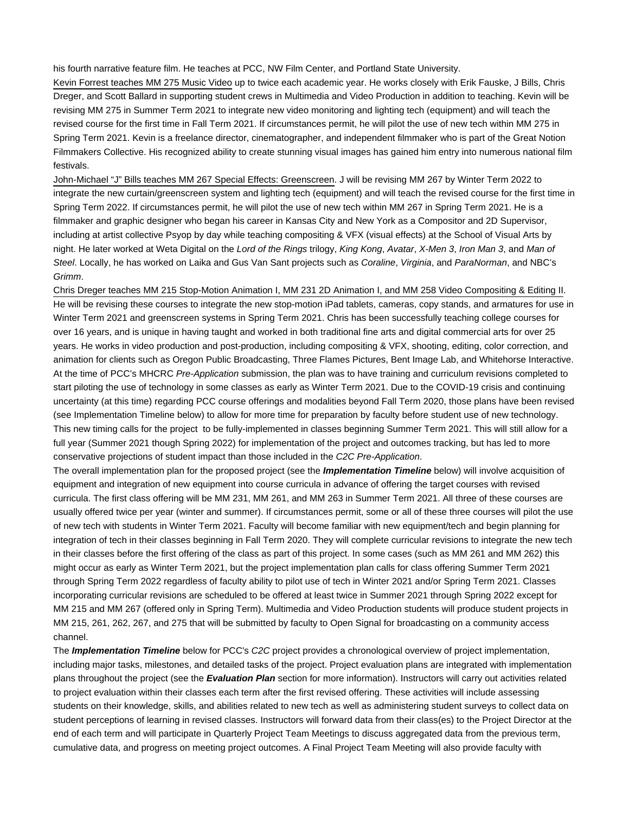his fourth narrative feature film. He teaches at PCC, NW Film Center, and Portland State University.

Kevin Forrest teaches MM 275 Music Video up to twice each academic year. He works closely with Erik Fauske, J Bills, Chris Dreger, and Scott Ballard in supporting student crews in Multimedia and Video Production in addition to teaching. Kevin will be revising MM 275 in Summer Term 2021 to integrate new video monitoring and lighting tech (equipment) and will teach the revised course for the first time in Fall Term 2021. If circumstances permit, he will pilot the use of new tech within MM 275 in Spring Term 2021. Kevin is a freelance director, cinematographer, and independent filmmaker who is part of the Great Notion Filmmakers Collective. His recognized ability to create stunning visual images has gained him entry into numerous national film festivals.

John-Michael "J" Bills teaches MM 267 Special Effects: Greenscreen. J will be revising MM 267 by Winter Term 2022 to integrate the new curtain/greenscreen system and lighting tech (equipment) and will teach the revised course for the first time in Spring Term 2022. If circumstances permit, he will pilot the use of new tech within MM 267 in Spring Term 2021. He is a filmmaker and graphic designer who began his career in Kansas City and New York as a Compositor and 2D Supervisor, including at artist collective Psyop by day while teaching compositing & VFX (visual effects) at the School of Visual Arts by night. He later worked at Weta Digital on the Lord of the Rings trilogy, King Kong, Avatar, X-Men 3, Iron Man 3, and Man of Steel. Locally, he has worked on Laika and Gus Van Sant projects such as Coraline, Virginia, and ParaNorman, and NBC's Grimm.

Chris Dreger teaches MM 215 Stop-Motion Animation I, MM 231 2D Animation I, and MM 258 Video Compositing & Editing II. He will be revising these courses to integrate the new stop-motion iPad tablets, cameras, copy stands, and armatures for use in Winter Term 2021 and greenscreen systems in Spring Term 2021. Chris has been successfully teaching college courses for over 16 years, and is unique in having taught and worked in both traditional fine arts and digital commercial arts for over 25 years. He works in video production and post-production, including compositing & VFX, shooting, editing, color correction, and animation for clients such as Oregon Public Broadcasting, Three Flames Pictures, Bent Image Lab, and Whitehorse Interactive. At the time of PCC's MHCRC Pre-Application submission, the plan was to have training and curriculum revisions completed to start piloting the use of technology in some classes as early as Winter Term 2021. Due to the COVID-19 crisis and continuing uncertainty (at this time) regarding PCC course offerings and modalities beyond Fall Term 2020, those plans have been revised (see Implementation Timeline below) to allow for more time for preparation by faculty before student use of new technology. This new timing calls for the project to be fully-implemented in classes beginning Summer Term 2021. This will still allow for a full year (Summer 2021 though Spring 2022) for implementation of the project and outcomes tracking, but has led to more conservative projections of student impact than those included in the C2C Pre-Application.

The overall implementation plan for the proposed project (see the **Implementation Timeline** below) will involve acquisition of equipment and integration of new equipment into course curricula in advance of offering the target courses with revised curricula. The first class offering will be MM 231, MM 261, and MM 263 in Summer Term 2021. All three of these courses are usually offered twice per year (winter and summer). If circumstances permit, some or all of these three courses will pilot the use of new tech with students in Winter Term 2021. Faculty will become familiar with new equipment/tech and begin planning for integration of tech in their classes beginning in Fall Term 2020. They will complete curricular revisions to integrate the new tech in their classes before the first offering of the class as part of this project. In some cases (such as MM 261 and MM 262) this might occur as early as Winter Term 2021, but the project implementation plan calls for class offering Summer Term 2021 through Spring Term 2022 regardless of faculty ability to pilot use of tech in Winter 2021 and/or Spring Term 2021. Classes incorporating curricular revisions are scheduled to be offered at least twice in Summer 2021 through Spring 2022 except for MM 215 and MM 267 (offered only in Spring Term). Multimedia and Video Production students will produce student projects in MM 215, 261, 262, 267, and 275 that will be submitted by faculty to Open Signal for broadcasting on a community access channel.

The **Implementation Timeline** below for PCC's C2C project provides a chronological overview of project implementation, including major tasks, milestones, and detailed tasks of the project. Project evaluation plans are integrated with implementation plans throughout the project (see the **Evaluation Plan** section for more information). Instructors will carry out activities related to project evaluation within their classes each term after the first revised offering. These activities will include assessing students on their knowledge, skills, and abilities related to new tech as well as administering student surveys to collect data on student perceptions of learning in revised classes. Instructors will forward data from their class(es) to the Project Director at the end of each term and will participate in Quarterly Project Team Meetings to discuss aggregated data from the previous term, cumulative data, and progress on meeting project outcomes. A Final Project Team Meeting will also provide faculty with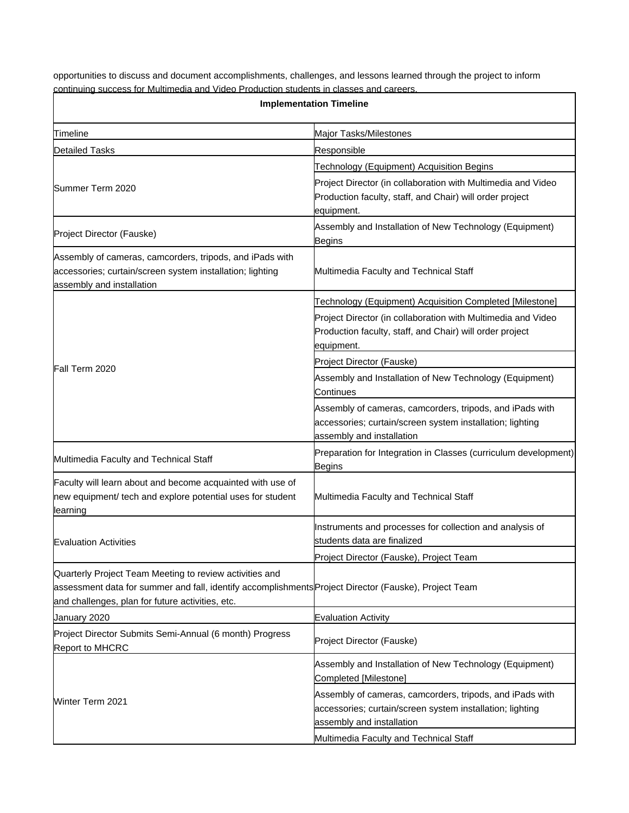opportunities to discuss and document accomplishments, challenges, and lessons learned through the project to inform continuing success for Multimedia and Video Production students in classes and careers.

| <b>Implementation Timeline</b>                                                                                                                                                                                       |                                                                                                                                                    |  |
|----------------------------------------------------------------------------------------------------------------------------------------------------------------------------------------------------------------------|----------------------------------------------------------------------------------------------------------------------------------------------------|--|
| Timeline                                                                                                                                                                                                             | Major Tasks/Milestones                                                                                                                             |  |
| <b>Detailed Tasks</b>                                                                                                                                                                                                | Responsible                                                                                                                                        |  |
|                                                                                                                                                                                                                      | <b>Technology (Equipment) Acquisition Begins</b>                                                                                                   |  |
| Summer Term 2020                                                                                                                                                                                                     | Project Director (in collaboration with Multimedia and Video<br>Production faculty, staff, and Chair) will order project<br>equipment.             |  |
| Project Director (Fauske)                                                                                                                                                                                            | Assembly and Installation of New Technology (Equipment)<br>Begins                                                                                  |  |
| Assembly of cameras, camcorders, tripods, and iPads with<br>accessories; curtain/screen system installation; lighting<br>assembly and installation                                                                   | Multimedia Faculty and Technical Staff                                                                                                             |  |
|                                                                                                                                                                                                                      | Technology (Equipment) Acquisition Completed [Milestone]                                                                                           |  |
|                                                                                                                                                                                                                      | Project Director (in collaboration with Multimedia and Video<br>Production faculty, staff, and Chair) will order project<br>equipment.             |  |
|                                                                                                                                                                                                                      | Project Director (Fauske)                                                                                                                          |  |
| lFall Term 2020                                                                                                                                                                                                      | Assembly and Installation of New Technology (Equipment)<br>Continues                                                                               |  |
|                                                                                                                                                                                                                      | Assembly of cameras, camcorders, tripods, and iPads with<br>accessories; curtain/screen system installation; lighting<br>assembly and installation |  |
| Multimedia Faculty and Technical Staff                                                                                                                                                                               | Preparation for Integration in Classes (curriculum development)<br>Begins                                                                          |  |
| Faculty will learn about and become acquainted with use of<br>new equipment/ tech and explore potential uses for student<br>learning                                                                                 | Multimedia Faculty and Technical Staff                                                                                                             |  |
| <b>Evaluation Activities</b>                                                                                                                                                                                         | Instruments and processes for collection and analysis of<br>students data are finalized                                                            |  |
|                                                                                                                                                                                                                      | Project Director (Fauske), Project Team                                                                                                            |  |
| Quarterly Project Team Meeting to review activities and<br>assessment data for summer and fall, identify accomplishments Project Director (Fauske), Project Team<br>and challenges, plan for future activities, etc. |                                                                                                                                                    |  |
| January 2020                                                                                                                                                                                                         | Evaluation Activity                                                                                                                                |  |
| Project Director Submits Semi-Annual (6 month) Progress<br><b>Report to MHCRC</b>                                                                                                                                    | Project Director (Fauske)                                                                                                                          |  |
|                                                                                                                                                                                                                      | Assembly and Installation of New Technology (Equipment)<br>Completed [Milestone]                                                                   |  |
| <b>Winter Term 2021</b>                                                                                                                                                                                              | Assembly of cameras, camcorders, tripods, and iPads with<br>accessories; curtain/screen system installation; lighting<br>assembly and installation |  |
|                                                                                                                                                                                                                      | Multimedia Faculty and Technical Staff                                                                                                             |  |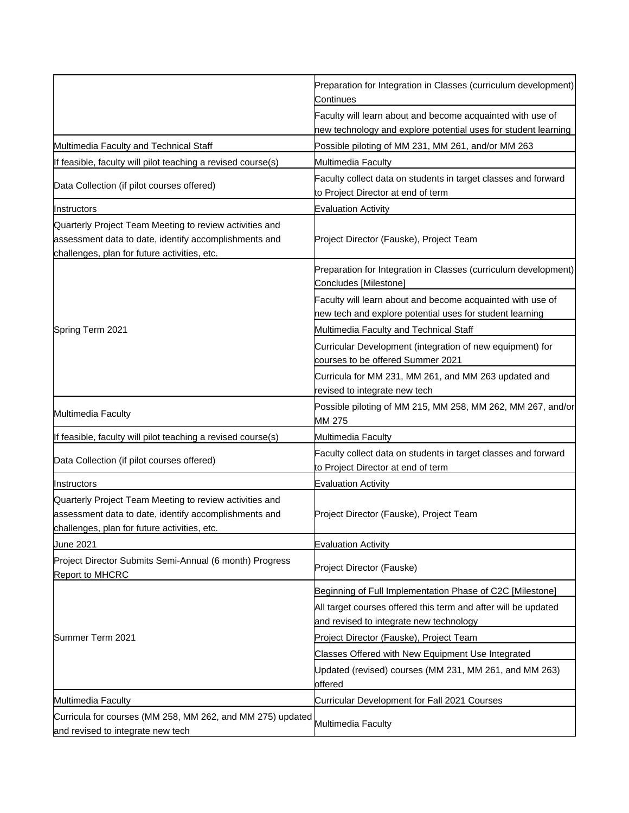|                                                                                                                                                                  | Preparation for Integration in Classes (curriculum development)<br>Continues                                                 |
|------------------------------------------------------------------------------------------------------------------------------------------------------------------|------------------------------------------------------------------------------------------------------------------------------|
|                                                                                                                                                                  | Faculty will learn about and become acquainted with use of<br>new technology and explore potential uses for student learning |
| Multimedia Faculty and Technical Staff                                                                                                                           | Possible piloting of MM 231, MM 261, and/or MM 263                                                                           |
| If feasible, faculty will pilot teaching a revised course(s)                                                                                                     | Multimedia Faculty                                                                                                           |
| Data Collection (if pilot courses offered)                                                                                                                       | Faculty collect data on students in target classes and forward<br>to Project Director at end of term                         |
| Instructors                                                                                                                                                      | Evaluation Activity                                                                                                          |
| Quarterly Project Team Meeting to review activities and<br>assessment data to date, identify accomplishments and<br>challenges, plan for future activities, etc. | Project Director (Fauske), Project Team                                                                                      |
|                                                                                                                                                                  | Preparation for Integration in Classes (curriculum development)<br>Concludes [Milestone]                                     |
|                                                                                                                                                                  | Faculty will learn about and become acquainted with use of<br>new tech and explore potential uses for student learning       |
| Spring Term 2021                                                                                                                                                 | Multimedia Faculty and Technical Staff                                                                                       |
|                                                                                                                                                                  | Curricular Development (integration of new equipment) for<br>courses to be offered Summer 2021                               |
|                                                                                                                                                                  | Curricula for MM 231, MM 261, and MM 263 updated and<br>revised to integrate new tech                                        |
| Multimedia Faculty                                                                                                                                               | Possible piloting of MM 215, MM 258, MM 262, MM 267, and/or<br>MM 275                                                        |
| If feasible, faculty will pilot teaching a revised course(s)                                                                                                     | Multimedia Faculty                                                                                                           |
| Data Collection (if pilot courses offered)                                                                                                                       | Faculty collect data on students in target classes and forward<br>to Project Director at end of term                         |
| Instructors                                                                                                                                                      | <b>Evaluation Activity</b>                                                                                                   |
| Quarterly Project Team Meeting to review activities and<br>assessment data to date, identify accomplishments and<br>challenges, plan for future activities, etc. | Project Director (Fauske), Project Team                                                                                      |
| June 2021                                                                                                                                                        | <b>Evaluation Activity</b>                                                                                                   |
| Project Director Submits Semi-Annual (6 month) Progress<br><b>Report to MHCRC</b>                                                                                | Project Director (Fauske)                                                                                                    |
|                                                                                                                                                                  | Beginning of Full Implementation Phase of C2C [Milestone]                                                                    |
|                                                                                                                                                                  | All target courses offered this term and after will be updated                                                               |
|                                                                                                                                                                  | and revised to integrate new technology                                                                                      |
| Summer Term 2021                                                                                                                                                 | Project Director (Fauske), Project Team                                                                                      |
|                                                                                                                                                                  | Classes Offered with New Equipment Use Integrated                                                                            |
|                                                                                                                                                                  | Updated (revised) courses (MM 231, MM 261, and MM 263)<br>offered                                                            |
| Multimedia Faculty                                                                                                                                               | Curricular Development for Fall 2021 Courses                                                                                 |
| Curricula for courses (MM 258, MM 262, and MM 275) updated                                                                                                       |                                                                                                                              |
| and revised to integrate new tech                                                                                                                                | Multimedia Faculty                                                                                                           |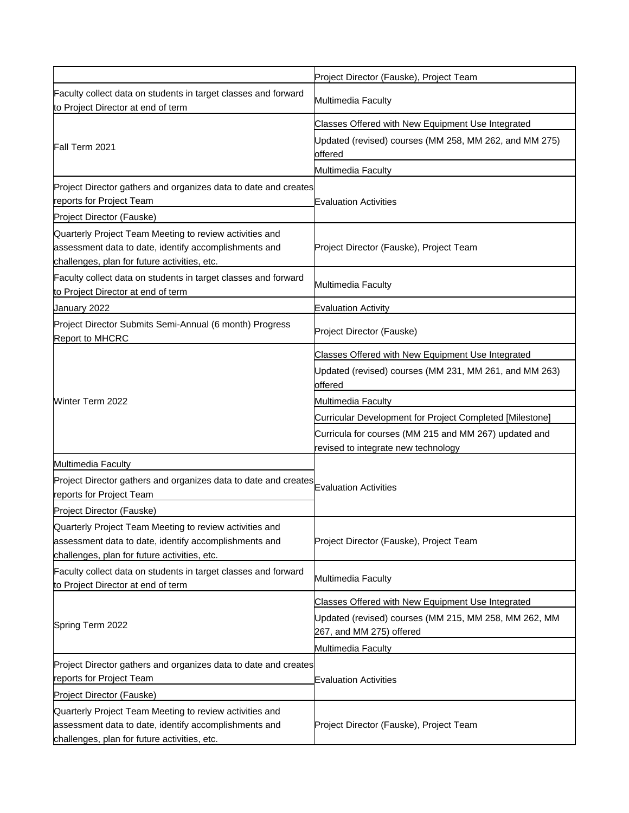|                                                                                                                                                                  | Project Director (Fauske), Project Team                                                      |
|------------------------------------------------------------------------------------------------------------------------------------------------------------------|----------------------------------------------------------------------------------------------|
| Faculty collect data on students in target classes and forward<br>to Project Director at end of term                                                             | Multimedia Faculty                                                                           |
|                                                                                                                                                                  | Classes Offered with New Equipment Use Integrated                                            |
| Fall Term 2021                                                                                                                                                   | Updated (revised) courses (MM 258, MM 262, and MM 275)<br>offered                            |
|                                                                                                                                                                  | Multimedia Faculty                                                                           |
| Project Director gathers and organizes data to date and creates<br>reports for Project Team                                                                      | <b>Evaluation Activities</b>                                                                 |
| Project Director (Fauske)                                                                                                                                        |                                                                                              |
| Quarterly Project Team Meeting to review activities and<br>assessment data to date, identify accomplishments and<br>challenges, plan for future activities, etc. | Project Director (Fauske), Project Team                                                      |
| Faculty collect data on students in target classes and forward<br>to Project Director at end of term                                                             | Multimedia Faculty                                                                           |
| January 2022                                                                                                                                                     | <b>Evaluation Activity</b>                                                                   |
| Project Director Submits Semi-Annual (6 month) Progress<br>Report to MHCRC                                                                                       | Project Director (Fauske)                                                                    |
|                                                                                                                                                                  | Classes Offered with New Equipment Use Integrated                                            |
|                                                                                                                                                                  | Updated (revised) courses (MM 231, MM 261, and MM 263)<br>offered                            |
| Winter Term 2022                                                                                                                                                 | Multimedia Faculty                                                                           |
|                                                                                                                                                                  | Curricular Development for Project Completed [Milestone]                                     |
|                                                                                                                                                                  | Curricula for courses (MM 215 and MM 267) updated and<br>revised to integrate new technology |
| Multimedia Faculty                                                                                                                                               |                                                                                              |
| Project Director gathers and organizes data to date and creates<br>reports for Project Team                                                                      | <b>Evaluation Activities</b>                                                                 |
| Project Director (Fauske)                                                                                                                                        |                                                                                              |
| Quarterly Project Team Meeting to review activities and<br>assessment data to date, identify accomplishments and<br>challenges, plan for future activities, etc. | Project Director (Fauske), Project Team                                                      |
| Faculty collect data on students in target classes and forward<br>to Project Director at end of term                                                             | Multimedia Faculty                                                                           |
|                                                                                                                                                                  | Classes Offered with New Equipment Use Integrated                                            |
| Spring Term 2022                                                                                                                                                 | Updated (revised) courses (MM 215, MM 258, MM 262, MM<br>267, and MM 275) offered            |
|                                                                                                                                                                  | Multimedia Faculty                                                                           |
| Project Director gathers and organizes data to date and creates                                                                                                  |                                                                                              |
| reports for Project Team                                                                                                                                         | <b>Evaluation Activities</b>                                                                 |
| Project Director (Fauske)                                                                                                                                        |                                                                                              |
| Quarterly Project Team Meeting to review activities and<br>assessment data to date, identify accomplishments and<br>challenges, plan for future activities, etc. | Project Director (Fauske), Project Team                                                      |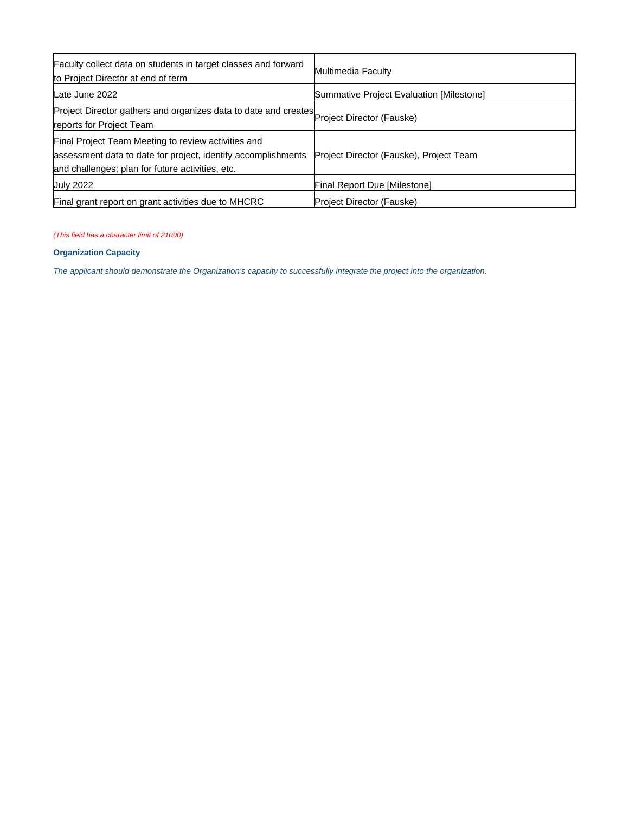| Faculty collect data on students in target classes and forward<br>to Project Director at end of term                                                                     | Multimedia Faculty                       |
|--------------------------------------------------------------------------------------------------------------------------------------------------------------------------|------------------------------------------|
| Late June 2022                                                                                                                                                           | Summative Project Evaluation [Milestone] |
| Project Director gathers and organizes data to date and creates<br>Project Director (Fauske)<br>reports for Project Team                                                 |                                          |
| Final Project Team Meeting to review activities and<br>assessment data to date for project, identify accomplishments<br>and challenges; plan for future activities, etc. | Project Director (Fauske), Project Team  |
| <b>July 2022</b>                                                                                                                                                         | Final Report Due [Milestone]             |
| Final grant report on grant activities due to MHCRC                                                                                                                      | <b>Project Director (Fauske)</b>         |

### (This field has a character limit of 21000)

## **Organization Capacity**

The applicant should demonstrate the Organization's capacity to successfully integrate the project into the organization.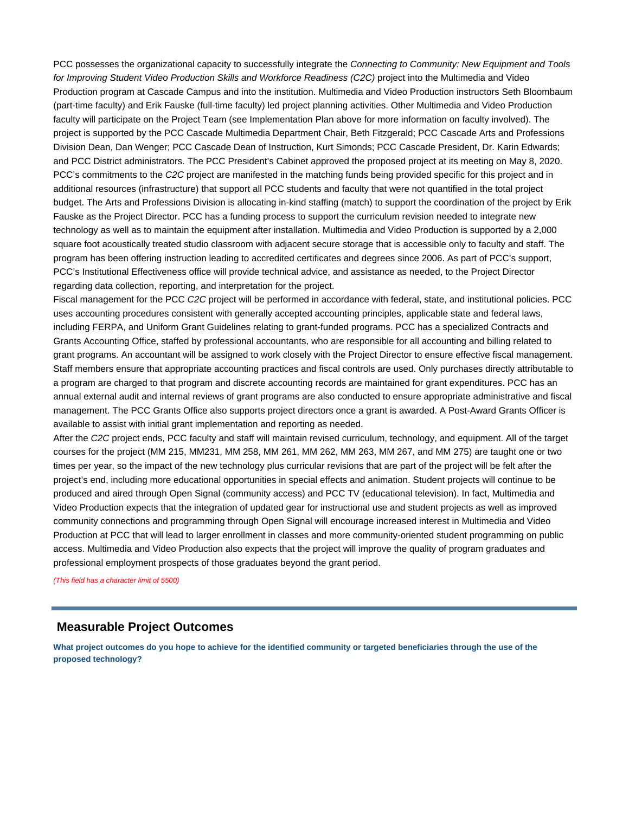PCC possesses the organizational capacity to successfully integrate the Connecting to Community: New Equipment and Tools for Improving Student Video Production Skills and Workforce Readiness (C2C) project into the Multimedia and Video Production program at Cascade Campus and into the institution. Multimedia and Video Production instructors Seth Bloombaum (part-time faculty) and Erik Fauske (full-time faculty) led project planning activities. Other Multimedia and Video Production faculty will participate on the Project Team (see Implementation Plan above for more information on faculty involved). The project is supported by the PCC Cascade Multimedia Department Chair, Beth Fitzgerald; PCC Cascade Arts and Professions Division Dean, Dan Wenger; PCC Cascade Dean of Instruction, Kurt Simonds; PCC Cascade President, Dr. Karin Edwards; and PCC District administrators. The PCC President's Cabinet approved the proposed project at its meeting on May 8, 2020. PCC's commitments to the C2C project are manifested in the matching funds being provided specific for this project and in additional resources (infrastructure) that support all PCC students and faculty that were not quantified in the total project budget. The Arts and Professions Division is allocating in-kind staffing (match) to support the coordination of the project by Erik Fauske as the Project Director. PCC has a funding process to support the curriculum revision needed to integrate new technology as well as to maintain the equipment after installation. Multimedia and Video Production is supported by a 2,000 square foot acoustically treated studio classroom with adjacent secure storage that is accessible only to faculty and staff. The program has been offering instruction leading to accredited certificates and degrees since 2006. As part of PCC's support, PCC's Institutional Effectiveness office will provide technical advice, and assistance as needed, to the Project Director regarding data collection, reporting, and interpretation for the project.

Fiscal management for the PCC C2C project will be performed in accordance with federal, state, and institutional policies. PCC uses accounting procedures consistent with generally accepted accounting principles, applicable state and federal laws, including FERPA, and Uniform Grant Guidelines relating to grant-funded programs. PCC has a specialized Contracts and Grants Accounting Office, staffed by professional accountants, who are responsible for all accounting and billing related to grant programs. An accountant will be assigned to work closely with the Project Director to ensure effective fiscal management. Staff members ensure that appropriate accounting practices and fiscal controls are used. Only purchases directly attributable to a program are charged to that program and discrete accounting records are maintained for grant expenditures. PCC has an annual external audit and internal reviews of grant programs are also conducted to ensure appropriate administrative and fiscal management. The PCC Grants Office also supports project directors once a grant is awarded. A Post-Award Grants Officer is available to assist with initial grant implementation and reporting as needed.

After the C2C project ends, PCC faculty and staff will maintain revised curriculum, technology, and equipment. All of the target courses for the project (MM 215, MM231, MM 258, MM 261, MM 262, MM 263, MM 267, and MM 275) are taught one or two times per year, so the impact of the new technology plus curricular revisions that are part of the project will be felt after the project's end, including more educational opportunities in special effects and animation. Student projects will continue to be produced and aired through Open Signal (community access) and PCC TV (educational television). In fact, Multimedia and Video Production expects that the integration of updated gear for instructional use and student projects as well as improved community connections and programming through Open Signal will encourage increased interest in Multimedia and Video Production at PCC that will lead to larger enrollment in classes and more community-oriented student programming on public access. Multimedia and Video Production also expects that the project will improve the quality of program graduates and professional employment prospects of those graduates beyond the grant period.

(This field has a character limit of 5500)

## **Measurable Project Outcomes**

**What project outcomes do you hope to achieve for the identified community or targeted beneficiaries through the use of the proposed technology?**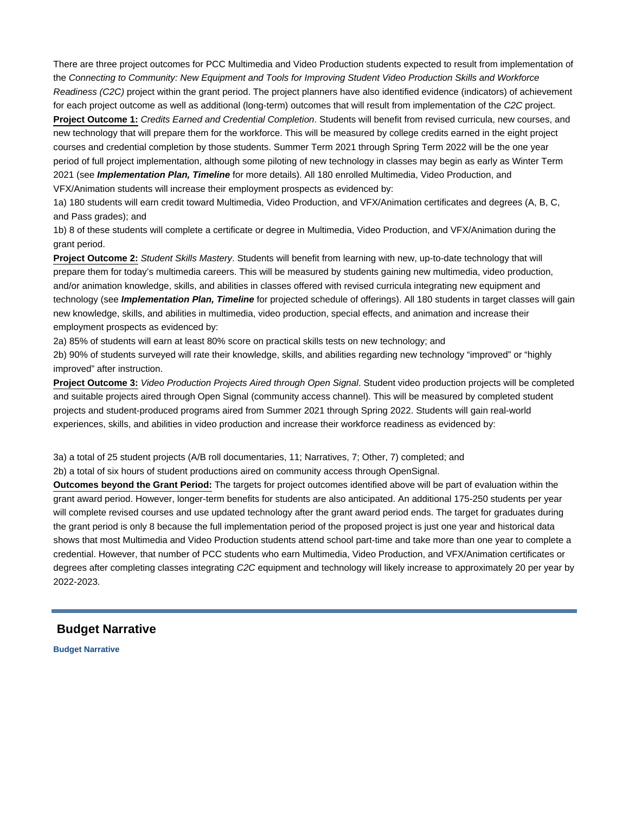There are three project outcomes for PCC Multimedia and Video Production students expected to result from implementation of the Connecting to Community: New Equipment and Tools for Improving Student Video Production Skills and Workforce Readiness (C2C) project within the grant period. The project planners have also identified evidence (indicators) of achievement for each project outcome as well as additional (long-term) outcomes that will result from implementation of the C2C project. **Project Outcome 1:** Credits Earned and Credential Completion. Students will benefit from revised curricula, new courses, and

new technology that will prepare them for the workforce. This will be measured by college credits earned in the eight project courses and credential completion by those students. Summer Term 2021 through Spring Term 2022 will be the one year period of full project implementation, although some piloting of new technology in classes may begin as early as Winter Term 2021 (see **Implementation Plan, Timeline** for more details). All 180 enrolled Multimedia, Video Production, and VFX/Animation students will increase their employment prospects as evidenced by:

1a) 180 students will earn credit toward Multimedia, Video Production, and VFX/Animation certificates and degrees (A, B, C, and Pass grades); and

1b) 8 of these students will complete a certificate or degree in Multimedia, Video Production, and VFX/Animation during the grant period.

**Project Outcome 2:** Student Skills Mastery. Students will benefit from learning with new, up-to-date technology that will prepare them for today's multimedia careers. This will be measured by students gaining new multimedia, video production, and/or animation knowledge, skills, and abilities in classes offered with revised curricula integrating new equipment and technology (see **Implementation Plan, Timeline** for projected schedule of offerings). All 180 students in target classes will gain new knowledge, skills, and abilities in multimedia, video production, special effects, and animation and increase their employment prospects as evidenced by:

2a) 85% of students will earn at least 80% score on practical skills tests on new technology; and

2b) 90% of students surveyed will rate their knowledge, skills, and abilities regarding new technology "improved" or "highly improved" after instruction.

**Project Outcome 3:** Video Production Projects Aired through Open Signal. Student video production projects will be completed and suitable projects aired through Open Signal (community access channel). This will be measured by completed student projects and student-produced programs aired from Summer 2021 through Spring 2022. Students will gain real-world experiences, skills, and abilities in video production and increase their workforce readiness as evidenced by:

3a) a total of 25 student projects (A/B roll documentaries, 11; Narratives, 7; Other, 7) completed; and

2b) a total of six hours of student productions aired on community access through OpenSignal.

**Outcomes beyond the Grant Period:** The targets for project outcomes identified above will be part of evaluation within the grant award period. However, longer-term benefits for students are also anticipated. An additional 175-250 students per year will complete revised courses and use updated technology after the grant award period ends. The target for graduates during the grant period is only 8 because the full implementation period of the proposed project is just one year and historical data shows that most Multimedia and Video Production students attend school part-time and take more than one year to complete a credential. However, that number of PCC students who earn Multimedia, Video Production, and VFX/Animation certificates or degrees after completing classes integrating C2C equipment and technology will likely increase to approximately 20 per year by 2022-2023.

## **Budget Narrative**

**Budget Narrative**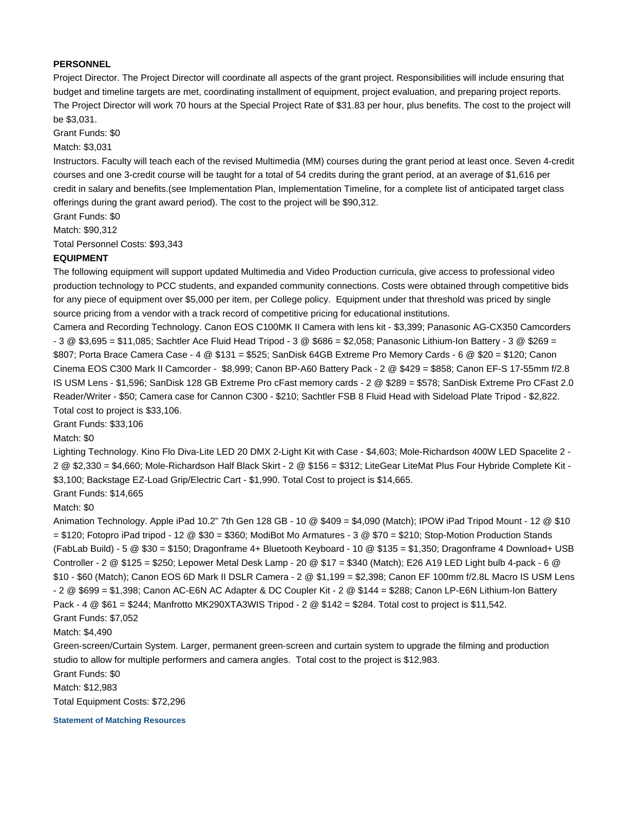## **PERSONNEL**

Project Director. The Project Director will coordinate all aspects of the grant project. Responsibilities will include ensuring that budget and timeline targets are met, coordinating installment of equipment, project evaluation, and preparing project reports. The Project Director will work 70 hours at the Special Project Rate of \$31.83 per hour, plus benefits. The cost to the project will be \$3,031.

Grant Funds: \$0

Match: \$3,031

Instructors. Faculty will teach each of the revised Multimedia (MM) courses during the grant period at least once. Seven 4-credit courses and one 3-credit course will be taught for a total of 54 credits during the grant period, at an average of \$1,616 per credit in salary and benefits.(see Implementation Plan, Implementation Timeline, for a complete list of anticipated target class offerings during the grant award period). The cost to the project will be \$90,312.

Grant Funds: \$0

Match: \$90,312

Total Personnel Costs: \$93,343

### **EQUIPMENT**

The following equipment will support updated Multimedia and Video Production curricula, give access to professional video production technology to PCC students, and expanded community connections. Costs were obtained through competitive bids for any piece of equipment over \$5,000 per item, per College policy. Equipment under that threshold was priced by single source pricing from a vendor with a track record of competitive pricing for educational institutions.

Camera and Recording Technology. Canon EOS C100MK II Camera with lens kit - \$3,399; Panasonic AG-CX350 Camcorders - 3 @ \$3,695 = \$11,085; Sachtler Ace Fluid Head Tripod - 3 @ \$686 = \$2,058; Panasonic Lithium-Ion Battery - 3 @ \$269 = \$807; Porta Brace Camera Case - 4 @ \$131 = \$525; SanDisk 64GB Extreme Pro Memory Cards - 6 @ \$20 = \$120; Canon Cinema EOS C300 Mark II Camcorder - \$8,999; Canon BP-A60 Battery Pack - 2 @ \$429 = \$858; Canon EF-S 17-55mm f/2.8 IS USM Lens - \$1,596; SanDisk 128 GB Extreme Pro cFast memory cards - 2 @ \$289 = \$578; SanDisk Extreme Pro CFast 2.0 Reader/Writer - \$50; Camera case for Cannon C300 - \$210; Sachtler FSB 8 Fluid Head with Sideload Plate Tripod - \$2,822. Total cost to project is \$33,106.

Grant Funds: \$33,106

Match: \$0

Lighting Technology. Kino Flo Diva-Lite LED 20 DMX 2-Light Kit with Case - \$4,603; Mole-Richardson 400W LED Spacelite 2 -2 @ \$2,330 = \$4,660; Mole-Richardson Half Black Skirt - 2 @ \$156 = \$312; LiteGear LiteMat Plus Four Hybride Complete Kit - \$3,100; Backstage EZ-Load Grip/Electric Cart - \$1,990. Total Cost to project is \$14,665.

Grant Funds: \$14,665

Match: \$0

Animation Technology. Apple iPad 10.2" 7th Gen 128 GB - 10 @ \$409 = \$4,090 (Match); IPOW iPad Tripod Mount - 12 @ \$10 = \$120; Fotopro iPad tripod - 12 @ \$30 = \$360; ModiBot Mo Armatures - 3 @ \$70 = \$210; Stop-Motion Production Stands (FabLab Build) - 5 @ \$30 = \$150; Dragonframe 4+ Bluetooth Keyboard - 10 @ \$135 = \$1,350; Dragonframe 4 Download+ USB Controller - 2 @ \$125 = \$250; Lepower Metal Desk Lamp - 20 @ \$17 = \$340 (Match); E26 A19 LED Light bulb 4-pack - 6 @ \$10 - \$60 (Match); Canon EOS 6D Mark II DSLR Camera - 2 @ \$1,199 = \$2,398; Canon EF 100mm f/2.8L Macro IS USM Lens - 2 @ \$699 = \$1,398; Canon AC-E6N AC Adapter & DC Coupler Kit - 2 @ \$144 = \$288; Canon LP-E6N Lithium-Ion Battery Pack - 4 @ \$61 = \$244; Manfrotto MK290XTA3WIS Tripod - 2 @ \$142 = \$284. Total cost to project is \$11,542. Grant Funds: \$7,052

Match: \$4,490

Green-screen/Curtain System. Larger, permanent green-screen and curtain system to upgrade the filming and production studio to allow for multiple performers and camera angles. Total cost to the project is \$12,983.

Grant Funds: \$0

Match: \$12,983

Total Equipment Costs: \$72,296

**Statement of Matching Resources**